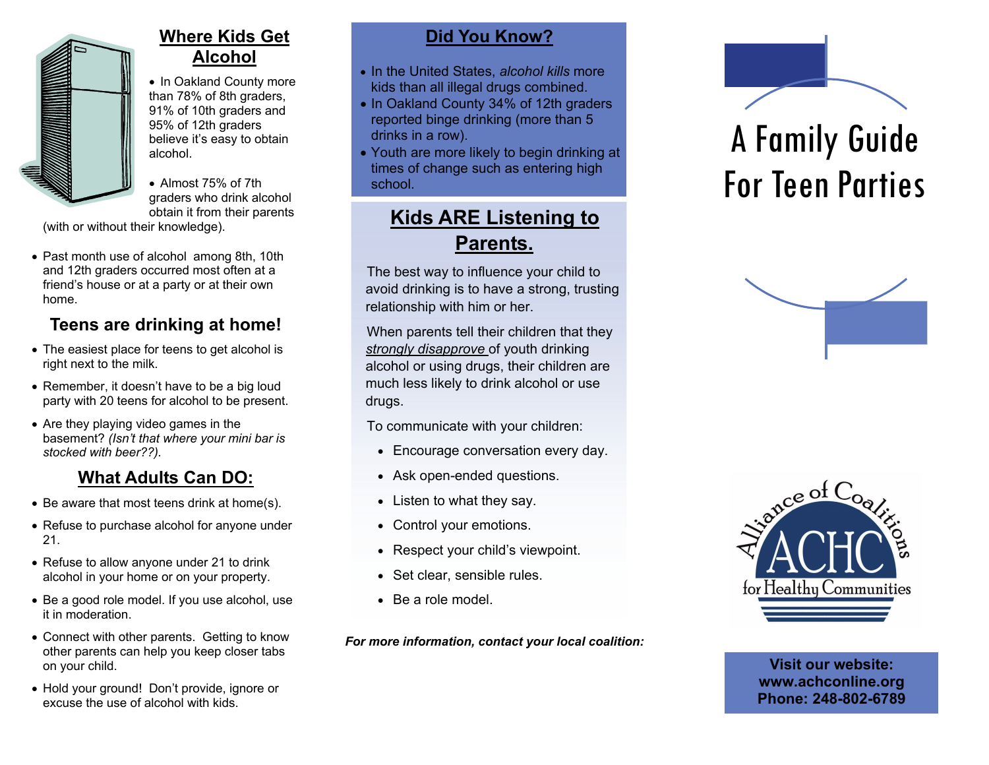

## **Where Kids Get Alcohol**

• In Oakland County more than 78% of 8th graders, 91% of 10th graders and 95% of 12th graders believe it's easy to obtain alcohol.

• Almost 75% of 7th graders who drink alcohol obtain it from their parents

(with or without their knowledge).

• Past month use of alcohol among 8th, 10th and 12th graders occurred most often at a friend's house or at a party or at their own home.

# **Teens are drinking at home!**

- The easiest place for teens to get alcohol is right next to the milk.
- Remember, it doesn't have to be a big loud party with 20 teens for alcohol to be present.
- Are they playing video games in the basement? *(Isn't that where your mini bar is stocked with beer??).*

# **What Adults Can DO:**

- Be aware that most teens drink at home(s).
- Refuse to purchase alcohol for anyone under 21.
- Refuse to allow anyone under 21 to drink alcohol in your home or on your property.
- Be a good role model. If you use alcohol, use it in moderation.
- Connect with other parents. Getting to know other parents can help you keep closer tabs on your child.
- Hold your ground! Don't provide, ignore or excuse the use of alcohol with kids.

## **Did You Know?**

- In the United States, *alcohol kills* more kids than all illegal drugs combined.
- In Oakland County 34% of 12th graders reported binge drinking (more than 5 drinks in a row).
- Youth are more likely to begin drinking at times of change such as entering high school.

# **Kids ARE Listening to Parents.**

The best way to influence your child to avoid drinking is to have a strong, trusting relationship with him or her.

When parents tell their children that they *strongly disapprove* of youth drinking alcohol or using drugs, their children are much less likely to drink alcohol or use drugs.

To communicate with your children:

- Encourage conversation every day.
- Ask open-ended questions.
- Listen to what they say.
- Control your emotions.
- Respect your child's viewpoint.
- Set clear, sensible rules.
- Be a role model.

*For more information, contact your local coalition:* 



# A Family Guide For Teen Parties





**Visit our website: www.achconline.org Phone: 248-802-6789**